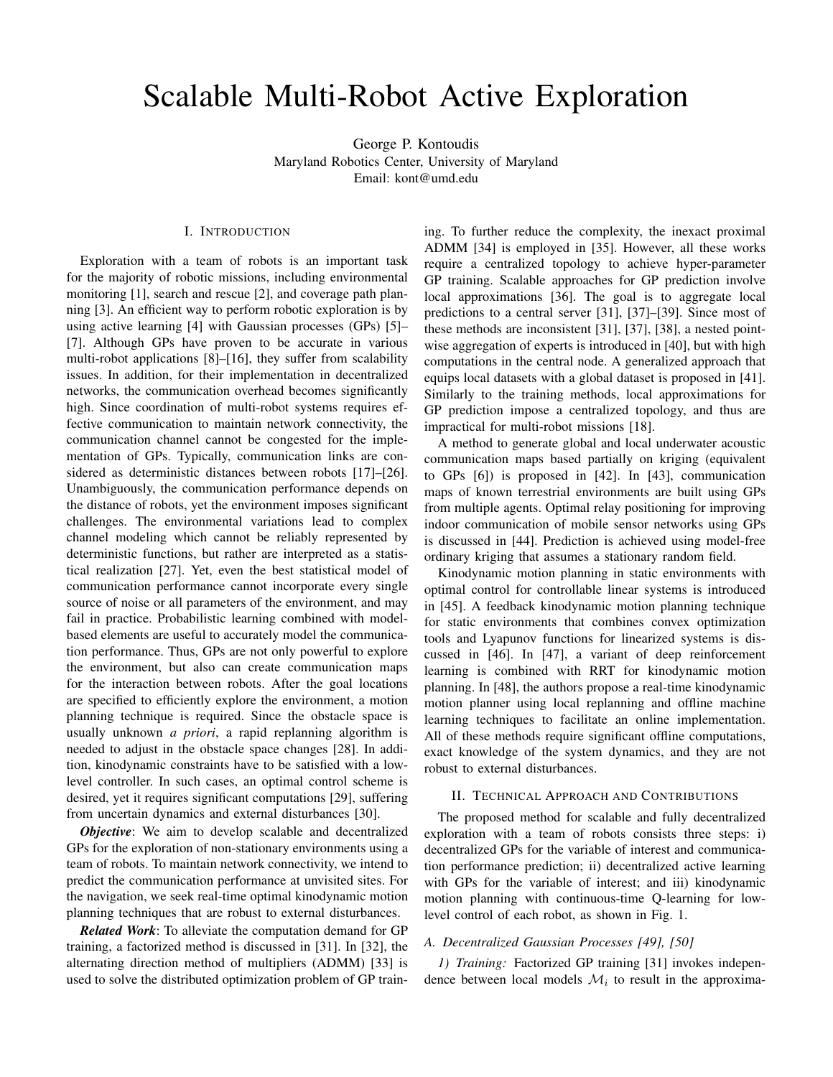# Scalable Multi-Robot Active Exploration

George P. Kontoudis Maryland Robotics Center, University of Maryland Email: [kont@umd.edu](mailto:kont@umd.edu)

# I. INTRODUCTION

Exploration with a team of robots is an important task for the majority of robotic missions, including environmental monitoring [\[1\]](#page-2-0), search and rescue [\[2\]](#page-2-1), and coverage path planning [\[3\]](#page-2-2). An efficient way to perform robotic exploration is by using active learning [\[4\]](#page-2-3) with Gaussian processes (GPs) [\[5\]](#page-2-4)– [\[7\]](#page-2-5). Although GPs have proven to be accurate in various multi-robot applications [\[8\]](#page-2-6)–[\[16\]](#page-2-7), they suffer from scalability issues. In addition, for their implementation in decentralized networks, the communication overhead becomes significantly high. Since coordination of multi-robot systems requires effective communication to maintain network connectivity, the communication channel cannot be congested for the implementation of GPs. Typically, communication links are considered as deterministic distances between robots [\[17\]](#page-2-8)–[\[26\]](#page-2-9). Unambiguously, the communication performance depends on the distance of robots, yet the environment imposes significant challenges. The environmental variations lead to complex channel modeling which cannot be reliably represented by deterministic functions, but rather are interpreted as a statistical realization [\[27\]](#page-2-10). Yet, even the best statistical model of communication performance cannot incorporate every single source of noise or all parameters of the environment, and may fail in practice. Probabilistic learning combined with modelbased elements are useful to accurately model the communication performance. Thus, GPs are not only powerful to explore the environment, but also can create communication maps for the interaction between robots. After the goal locations are specified to efficiently explore the environment, a motion planning technique is required. Since the obstacle space is usually unknown *a priori*, a rapid replanning algorithm is needed to adjust in the obstacle space changes [\[28\]](#page-2-11). In addition, kinodynamic constraints have to be satisfied with a lowlevel controller. In such cases, an optimal control scheme is desired, yet it requires significant computations [\[29\]](#page-2-12), suffering from uncertain dynamics and external disturbances [\[30\]](#page-2-13).

*Objective*: We aim to develop scalable and decentralized GPs for the exploration of non-stationary environments using a team of robots. To maintain network connectivity, we intend to predict the communication performance at unvisited sites. For the navigation, we seek real-time optimal kinodynamic motion planning techniques that are robust to external disturbances.

*Related Work*: To alleviate the computation demand for GP training, a factorized method is discussed in [\[31\]](#page-2-14). In [\[32\]](#page-2-15), the alternating direction method of multipliers (ADMM) [\[33\]](#page-2-16) is used to solve the distributed optimization problem of GP training. To further reduce the complexity, the inexact proximal ADMM [\[34\]](#page-2-17) is employed in [\[35\]](#page-2-18). However, all these works require a centralized topology to achieve hyper-parameter GP training. Scalable approaches for GP prediction involve local approximations [\[36\]](#page-2-19). The goal is to aggregate local predictions to a central server [\[31\]](#page-2-14), [\[37\]](#page-2-20)–[\[39\]](#page-2-21). Since most of these methods are inconsistent [\[31\]](#page-2-14), [\[37\]](#page-2-20), [\[38\]](#page-2-22), a nested pointwise aggregation of experts is introduced in [\[40\]](#page-2-23), but with high computations in the central node. A generalized approach that equips local datasets with a global dataset is proposed in [\[41\]](#page-2-24). Similarly to the training methods, local approximations for GP prediction impose a centralized topology, and thus are impractical for multi-robot missions [\[18\]](#page-2-25).

A method to generate global and local underwater acoustic communication maps based partially on kriging (equivalent to GPs [\[6\]](#page-2-26)) is proposed in [\[42\]](#page-2-27). In [\[43\]](#page-2-28), communication maps of known terrestrial environments are built using GPs from multiple agents. Optimal relay positioning for improving indoor communication of mobile sensor networks using GPs is discussed in [\[44\]](#page-2-29). Prediction is achieved using model-free ordinary kriging that assumes a stationary random field.

Kinodynamic motion planning in static environments with optimal control for controllable linear systems is introduced in [\[45\]](#page-2-30). A feedback kinodynamic motion planning technique for static environments that combines convex optimization tools and Lyapunov functions for linearized systems is discussed in [\[46\]](#page-2-31). In [\[47\]](#page-3-0), a variant of deep reinforcement learning is combined with RRT for kinodynamic motion planning. In [\[48\]](#page-3-1), the authors propose a real-time kinodynamic motion planner using local replanning and offline machine learning techniques to facilitate an online implementation. All of these methods require significant offline computations, exact knowledge of the system dynamics, and they are not robust to external disturbances.

# II. TECHNICAL APPROACH AND CONTRIBUTIONS

The proposed method for scalable and fully decentralized exploration with a team of robots consists three steps: i) decentralized GPs for the variable of interest and communication performance prediction; ii) decentralized active learning with GPs for the variable of interest; and iii) kinodynamic motion planning with continuous-time Q-learning for lowlevel control of each robot, as shown in Fig. [1.](#page-1-0)

# *A. Decentralized Gaussian Processes [\[49\]](#page-3-2), [\[50\]](#page-3-3)*

*1) Training:* Factorized GP training [\[31\]](#page-2-14) invokes independence between local models  $\mathcal{M}_i$  to result in the approxima-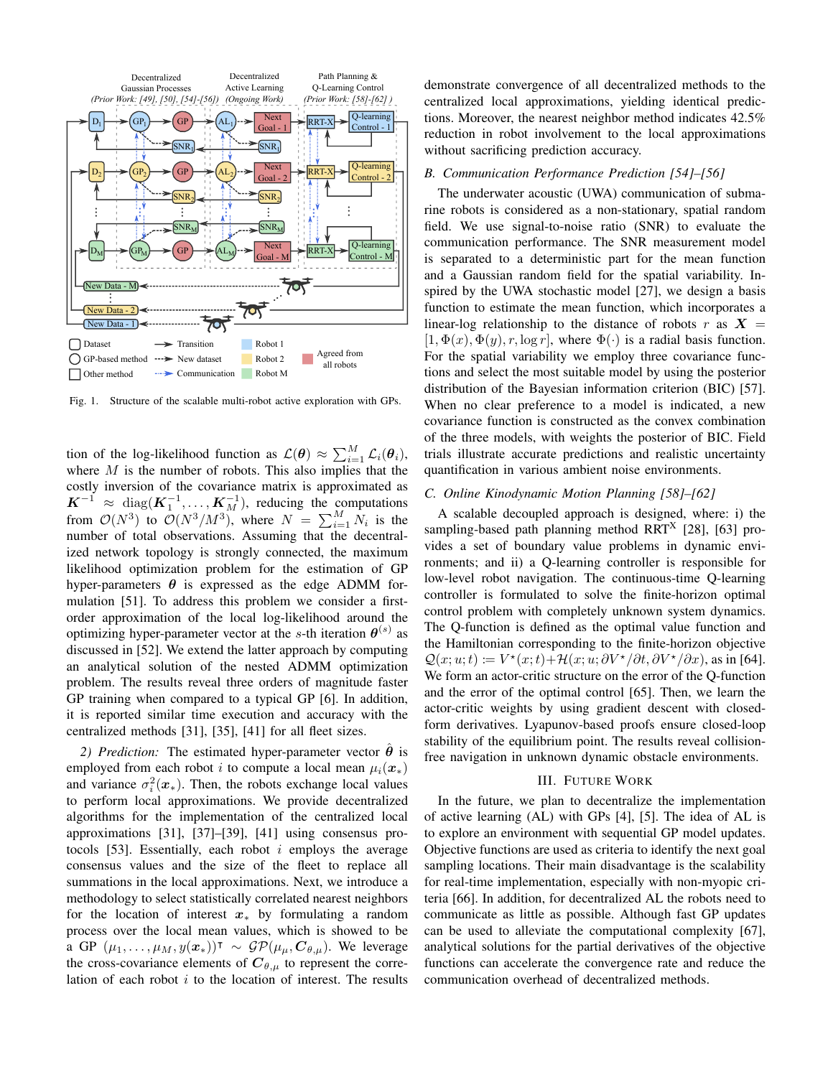

<span id="page-1-0"></span>Fig. 1. Structure of the scalable multi-robot active exploration with GPs.

tion of the log-likelihood function as  $\mathcal{L}(\theta) \approx \sum_{i=1}^{M} \mathcal{L}_i(\theta_i)$ , where  $M$  is the number of robots. This also implies that the costly inversion of the covariance matrix is approximated as  $K^{-1} \approx \text{diag}(K_1^{-1}, \dots, K_M^{-1}),$  reducing the computations from  $\mathcal{O}(N^3)$  to  $\mathcal{O}(N^3/M^3)$ , where  $N = \sum_{i=1}^{M} N_i$  is the number of total observations. Assuming that the decentralized network topology is strongly connected, the maximum likelihood optimization problem for the estimation of GP hyper-parameters  $\theta$  is expressed as the edge ADMM formulation [\[51\]](#page-3-4). To address this problem we consider a firstorder approximation of the local log-likelihood around the optimizing hyper-parameter vector at the s-th iteration  $\theta^{(s)}$  as discussed in [\[52\]](#page-3-5). We extend the latter approach by computing an analytical solution of the nested ADMM optimization problem. The results reveal three orders of magnitude faster GP training when compared to a typical GP [\[6\]](#page-2-26). In addition, it is reported similar time execution and accuracy with the centralized methods [\[31\]](#page-2-14), [\[35\]](#page-2-18), [\[41\]](#page-2-24) for all fleet sizes.

*2) Prediction:* The estimated hyper-parameter vector  $\hat{\theta}$  is employed from each robot i to compute a local mean  $\mu_i(\mathbf{x}_*)$ and variance  $\sigma_i^2(x_*)$ . Then, the robots exchange local values to perform local approximations. We provide decentralized algorithms for the implementation of the centralized local approximations [\[31\]](#page-2-14), [\[37\]](#page-2-20)–[\[39\]](#page-2-21), [\[41\]](#page-2-24) using consensus pro-tocols [\[53\]](#page-3-6). Essentially, each robot  $i$  employs the average consensus values and the size of the fleet to replace all summations in the local approximations. Next, we introduce a methodology to select statistically correlated nearest neighbors for the location of interest  $x_{\ast}$  by formulating a random process over the local mean values, which is showed to be a GP  $(\mu_1, \ldots, \mu_M, y(\mathbf{x}_*))^{\dagger} \sim \mathcal{GP}(\mu_{\mu}, \mathbf{C}_{\theta, \mu})$ . We leverage the cross-covariance elements of  $C_{\theta,\mu}$  to represent the correlation of each robot  $i$  to the location of interest. The results

demonstrate convergence of all decentralized methods to the centralized local approximations, yielding identical predictions. Moreover, the nearest neighbor method indicates 42.5% reduction in robot involvement to the local approximations without sacrificing prediction accuracy.

### *B. Communication Performance Prediction [\[54\]](#page-3-7)–[\[56\]](#page-3-8)*

The underwater acoustic (UWA) communication of submarine robots is considered as a non-stationary, spatial random field. We use signal-to-noise ratio (SNR) to evaluate the communication performance. The SNR measurement model is separated to a deterministic part for the mean function and a Gaussian random field for the spatial variability. Inspired by the UWA stochastic model [\[27\]](#page-2-10), we design a basis function to estimate the mean function, which incorporates a linear-log relationship to the distance of robots r as  $X =$  $[1, \Phi(x), \Phi(y), r, \log r]$ , where  $\Phi(\cdot)$  is a radial basis function. For the spatial variability we employ three covariance functions and select the most suitable model by using the posterior distribution of the Bayesian information criterion (BIC) [\[57\]](#page-3-9). When no clear preference to a model is indicated, a new covariance function is constructed as the convex combination of the three models, with weights the posterior of BIC. Field trials illustrate accurate predictions and realistic uncertainty quantification in various ambient noise environments.

# *C. Online Kinodynamic Motion Planning [\[58\]](#page-3-10)–[\[62\]](#page-3-11)*

A scalable decoupled approach is designed, where: i) the sampling-based path planning method RRT<sup>X</sup> [\[28\]](#page-2-11), [\[63\]](#page-3-12) provides a set of boundary value problems in dynamic environments; and ii) a Q-learning controller is responsible for low-level robot navigation. The continuous-time Q-learning controller is formulated to solve the finite-horizon optimal control problem with completely unknown system dynamics. The Q-function is defined as the optimal value function and the Hamiltonian corresponding to the finite-horizon objective  $\mathcal{Q}(x; u; t) \coloneqq V^\star(x; t) + \mathcal{H}(x; u; \partial V^\star / \partial t, \partial V^\star / \partial x)$ , as in [\[64\]](#page-3-13). We form an actor-critic structure on the error of the Q-function and the error of the optimal control [\[65\]](#page-3-14). Then, we learn the actor-critic weights by using gradient descent with closedform derivatives. Lyapunov-based proofs ensure closed-loop stability of the equilibrium point. The results reveal collisionfree navigation in unknown dynamic obstacle environments.

#### III. FUTURE WORK

In the future, we plan to decentralize the implementation of active learning (AL) with GPs [\[4\]](#page-2-3), [\[5\]](#page-2-4). The idea of AL is to explore an environment with sequential GP model updates. Objective functions are used as criteria to identify the next goal sampling locations. Their main disadvantage is the scalability for real-time implementation, especially with non-myopic criteria [\[66\]](#page-3-15). In addition, for decentralized AL the robots need to communicate as little as possible. Although fast GP updates can be used to alleviate the computational complexity [\[67\]](#page-3-16), analytical solutions for the partial derivatives of the objective functions can accelerate the convergence rate and reduce the communication overhead of decentralized methods.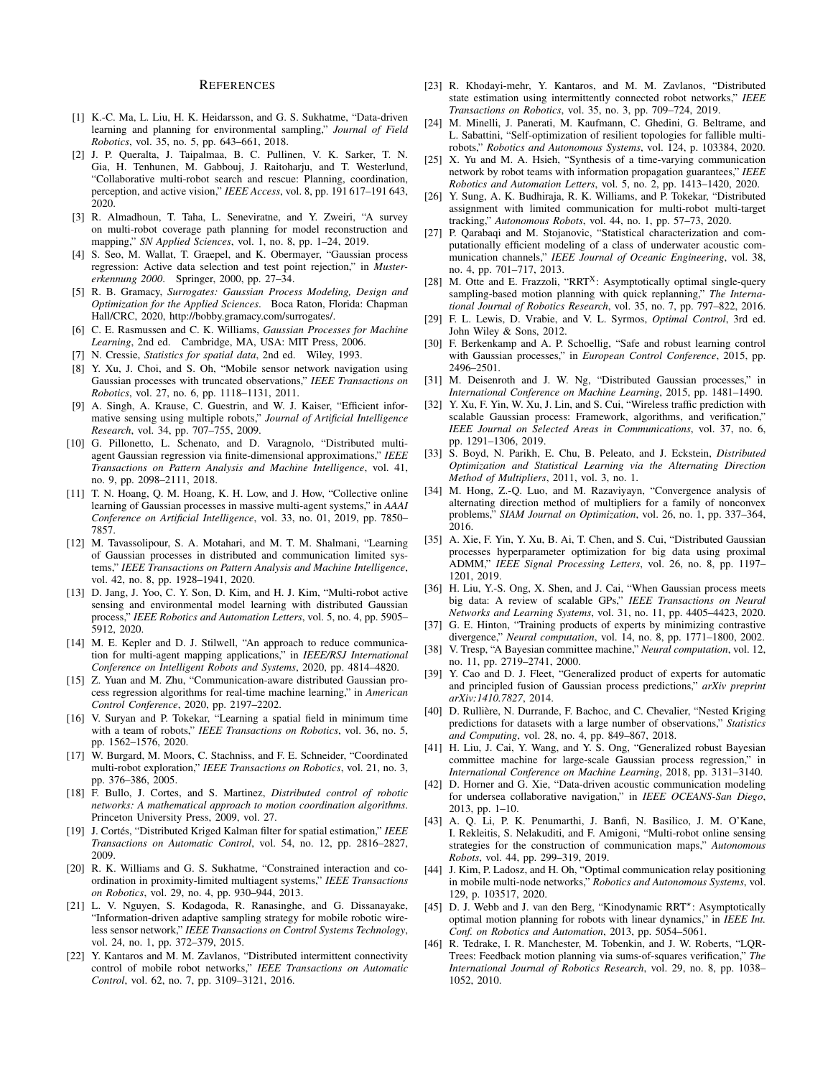#### REFERENCES

- <span id="page-2-0"></span>[1] K.-C. Ma, L. Liu, H. K. Heidarsson, and G. S. Sukhatme, "Data-driven learning and planning for environmental sampling," *Journal of Field Robotics*, vol. 35, no. 5, pp. 643–661, 2018.
- <span id="page-2-1"></span>[2] J. P. Queralta, J. Taipalmaa, B. C. Pullinen, V. K. Sarker, T. N. Gia, H. Tenhunen, M. Gabbouj, J. Raitoharju, and T. Westerlund, "Collaborative multi-robot search and rescue: Planning, coordination, perception, and active vision," *IEEE Access*, vol. 8, pp. 191 617–191 643, 2020.
- <span id="page-2-2"></span>[3] R. Almadhoun, T. Taha, L. Seneviratne, and Y. Zweiri, "A survey on multi-robot coverage path planning for model reconstruction and mapping," *SN Applied Sciences*, vol. 1, no. 8, pp. 1–24, 2019.
- <span id="page-2-3"></span>[4] S. Seo, M. Wallat, T. Graepel, and K. Obermayer, "Gaussian process regression: Active data selection and test point rejection," in *Mustererkennung 2000*. Springer, 2000, pp. 27–34.
- <span id="page-2-4"></span>[5] R. B. Gramacy, *Surrogates: Gaussian Process Modeling, Design and Optimization for the Applied Sciences*. Boca Raton, Florida: Chapman Hall/CRC, 2020, [http://bobby.gramacy.com/surrogates/.](http://bobby.gramacy.com/surrogates/)
- <span id="page-2-26"></span>[6] C. E. Rasmussen and C. K. Williams, *Gaussian Processes for Machine Learning*, 2nd ed. Cambridge, MA, USA: MIT Press, 2006.
- <span id="page-2-5"></span>[7] N. Cressie, *Statistics for spatial data*, 2nd ed. Wiley, 1993.
- <span id="page-2-6"></span>[8] Y. Xu, J. Choi, and S. Oh, "Mobile sensor network navigation using Gaussian processes with truncated observations," *IEEE Transactions on Robotics*, vol. 27, no. 6, pp. 1118–1131, 2011.
- [9] A. Singh, A. Krause, C. Guestrin, and W. J. Kaiser, "Efficient informative sensing using multiple robots," *Journal of Artificial Intelligence Research*, vol. 34, pp. 707–755, 2009.
- [10] G. Pillonetto, L. Schenato, and D. Varagnolo, "Distributed multiagent Gaussian regression via finite-dimensional approximations," *IEEE Transactions on Pattern Analysis and Machine Intelligence*, vol. 41, no. 9, pp. 2098–2111, 2018.
- [11] T. N. Hoang, Q. M. Hoang, K. H. Low, and J. How, "Collective online learning of Gaussian processes in massive multi-agent systems," in *AAAI Conference on Artificial Intelligence*, vol. 33, no. 01, 2019, pp. 7850– 7857.
- [12] M. Tavassolipour, S. A. Motahari, and M. T. M. Shalmani, "Learning of Gaussian processes in distributed and communication limited systems," *IEEE Transactions on Pattern Analysis and Machine Intelligence*, vol. 42, no. 8, pp. 1928–1941, 2020.
- [13] D. Jang, J. Yoo, C. Y. Son, D. Kim, and H. J. Kim, "Multi-robot active sensing and environmental model learning with distributed Gaussian process," *IEEE Robotics and Automation Letters*, vol. 5, no. 4, pp. 5905– 5912, 2020.
- [14] M. E. Kepler and D. J. Stilwell, "An approach to reduce communication for multi-agent mapping applications," in *IEEE/RSJ International Conference on Intelligent Robots and Systems*, 2020, pp. 4814–4820.
- [15] Z. Yuan and M. Zhu, "Communication-aware distributed Gaussian process regression algorithms for real-time machine learning," in *American Control Conference*, 2020, pp. 2197–2202.
- <span id="page-2-7"></span>[16] V. Suryan and P. Tokekar, "Learning a spatial field in minimum time with a team of robots," *IEEE Transactions on Robotics*, vol. 36, no. 5, pp. 1562–1576, 2020.
- <span id="page-2-8"></span>[17] W. Burgard, M. Moors, C. Stachniss, and F. E. Schneider, "Coordinated multi-robot exploration," *IEEE Transactions on Robotics*, vol. 21, no. 3, pp. 376–386, 2005.
- <span id="page-2-25"></span>[18] F. Bullo, J. Cortes, and S. Martinez, *Distributed control of robotic networks: A mathematical approach to motion coordination algorithms*. Princeton University Press, 2009, vol. 27.
- [19] J. Cortés, "Distributed Kriged Kalman filter for spatial estimation," IEEE *Transactions on Automatic Control*, vol. 54, no. 12, pp. 2816–2827, 2009.
- [20] R. K. Williams and G. S. Sukhatme, "Constrained interaction and coordination in proximity-limited multiagent systems," *IEEE Transactions on Robotics*, vol. 29, no. 4, pp. 930–944, 2013.
- [21] L. V. Nguyen, S. Kodagoda, R. Ranasinghe, and G. Dissanayake, "Information-driven adaptive sampling strategy for mobile robotic wireless sensor network," *IEEE Transactions on Control Systems Technology*, vol. 24, no. 1, pp. 372–379, 2015.
- [22] Y. Kantaros and M. M. Zavlanos, "Distributed intermittent connectivity control of mobile robot networks," *IEEE Transactions on Automatic Control*, vol. 62, no. 7, pp. 3109–3121, 2016.
- [23] R. Khodayi-mehr, Y. Kantaros, and M. M. Zavlanos, "Distributed state estimation using intermittently connected robot networks," *IEEE Transactions on Robotics*, vol. 35, no. 3, pp. 709–724, 2019.
- [24] M. Minelli, J. Panerati, M. Kaufmann, C. Ghedini, G. Beltrame, and L. Sabattini, "Self-optimization of resilient topologies for fallible multirobots," *Robotics and Autonomous Systems*, vol. 124, p. 103384, 2020.
- [25] X. Yu and M. A. Hsieh, "Synthesis of a time-varying communication network by robot teams with information propagation guarantees," *IEEE Robotics and Automation Letters*, vol. 5, no. 2, pp. 1413–1420, 2020.
- <span id="page-2-9"></span>[26] Y. Sung, A. K. Budhiraja, R. K. Williams, and P. Tokekar, "Distributed assignment with limited communication for multi-robot multi-target tracking," *Autonomous Robots*, vol. 44, no. 1, pp. 57–73, 2020.
- <span id="page-2-10"></span>[27] P. Qarabaqi and M. Stojanovic, "Statistical characterization and computationally efficient modeling of a class of underwater acoustic communication channels," *IEEE Journal of Oceanic Engineering*, vol. 38, no. 4, pp. 701–717, 2013.
- <span id="page-2-11"></span>[28] M. Otte and E. Frazzoli, "RRT<sup>X</sup>: Asymptotically optimal single-query sampling-based motion planning with quick replanning," *The International Journal of Robotics Research*, vol. 35, no. 7, pp. 797–822, 2016.
- <span id="page-2-12"></span>[29] F. L. Lewis, D. Vrabie, and V. L. Syrmos, *Optimal Control*, 3rd ed. John Wiley & Sons, 2012.
- <span id="page-2-13"></span>[30] F. Berkenkamp and A. P. Schoellig, "Safe and robust learning control with Gaussian processes," in *European Control Conference*, 2015, pp. 2496–2501.
- <span id="page-2-14"></span>[31] M. Deisenroth and J. W. Ng, "Distributed Gaussian processes," in *International Conference on Machine Learning*, 2015, pp. 1481–1490.
- <span id="page-2-15"></span>[32] Y. Xu, F. Yin, W. Xu, J. Lin, and S. Cui, "Wireless traffic prediction with scalable Gaussian process: Framework, algorithms, and verification," *IEEE Journal on Selected Areas in Communications*, vol. 37, no. 6, pp. 1291–1306, 2019.
- <span id="page-2-16"></span>[33] S. Boyd, N. Parikh, E. Chu, B. Peleato, and J. Eckstein, *Distributed Optimization and Statistical Learning via the Alternating Direction Method of Multipliers*, 2011, vol. 3, no. 1.
- <span id="page-2-17"></span>[34] M. Hong, Z.-Q. Luo, and M. Razaviyayn, "Convergence analysis of alternating direction method of multipliers for a family of nonconvex problems," *SIAM Journal on Optimization*, vol. 26, no. 1, pp. 337–364, 2016.
- <span id="page-2-18"></span>[35] A. Xie, F. Yin, Y. Xu, B. Ai, T. Chen, and S. Cui, "Distributed Gaussian processes hyperparameter optimization for big data using proximal ADMM," *IEEE Signal Processing Letters*, vol. 26, no. 8, pp. 1197– 1201, 2019.
- <span id="page-2-19"></span>[36] H. Liu, Y.-S. Ong, X. Shen, and J. Cai, "When Gaussian process meets big data: A review of scalable GPs," *IEEE Transactions on Neural Networks and Learning Systems*, vol. 31, no. 11, pp. 4405–4423, 2020.
- <span id="page-2-20"></span>[37] G. E. Hinton, "Training products of experts by minimizing contrastive divergence," *Neural computation*, vol. 14, no. 8, pp. 1771–1800, 2002.
- <span id="page-2-22"></span>[38] V. Tresp, "A Bayesian committee machine," *Neural computation*, vol. 12, no. 11, pp. 2719–2741, 2000.
- <span id="page-2-21"></span>[39] Y. Cao and D. J. Fleet, "Generalized product of experts for automatic and principled fusion of Gaussian process predictions," *arXiv preprint arXiv:1410.7827*, 2014.
- <span id="page-2-23"></span>[40] D. Rullière, N. Durrande, F. Bachoc, and C. Chevalier, "Nested Kriging predictions for datasets with a large number of observations," *Statistics and Computing*, vol. 28, no. 4, pp. 849–867, 2018.
- <span id="page-2-24"></span>[41] H. Liu, J. Cai, Y. Wang, and Y. S. Ong, "Generalized robust Bayesian committee machine for large-scale Gaussian process regression," in *International Conference on Machine Learning*, 2018, pp. 3131–3140.
- <span id="page-2-27"></span>[42] D. Horner and G. Xie, "Data-driven acoustic communication modeling for undersea collaborative navigation," in *IEEE OCEANS-San Diego*, 2013, pp. 1–10.
- <span id="page-2-28"></span>[43] A. Q. Li, P. K. Penumarthi, J. Banfi, N. Basilico, J. M. O'Kane, I. Rekleitis, S. Nelakuditi, and F. Amigoni, "Multi-robot online sensing strategies for the construction of communication maps," *Autonomous Robots*, vol. 44, pp. 299–319, 2019.
- <span id="page-2-29"></span>[44] J. Kim, P. Ladosz, and H. Oh, "Optimal communication relay positioning in mobile multi-node networks," *Robotics and Autonomous Systems*, vol. 129, p. 103517, 2020.
- <span id="page-2-30"></span>[45] D. J. Webb and J. van den Berg, "Kinodynamic RRT\*: Asymptotically optimal motion planning for robots with linear dynamics," in *IEEE Int. Conf. on Robotics and Automation*, 2013, pp. 5054–5061.
- <span id="page-2-31"></span>[46] R. Tedrake, I. R. Manchester, M. Tobenkin, and J. W. Roberts, "LQR-Trees: Feedback motion planning via sums-of-squares verification," *The International Journal of Robotics Research*, vol. 29, no. 8, pp. 1038– 1052, 2010.